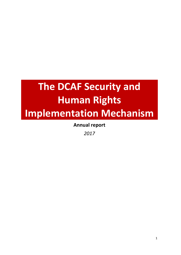# **The DCAF Security and Human Rights Implementation Mechanism**

**Annual report** 

*2017*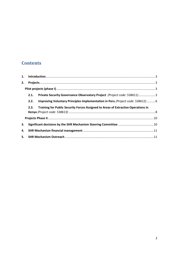# **Contents**

| 2. |      |                                                                                   |  |
|----|------|-----------------------------------------------------------------------------------|--|
|    |      |                                                                                   |  |
|    | 2.1. | Private Security Governance Observatory Project (Project code: 538611)3           |  |
|    | 2.2. | Improving Voluntary Principles Implementation in Peru (Project code: 538612)  6   |  |
|    | 2.3. | Training for Public Security Forces Assigned to Areas of Extractive Operations in |  |
|    |      |                                                                                   |  |
|    |      |                                                                                   |  |
| З. |      |                                                                                   |  |
|    |      |                                                                                   |  |
|    |      |                                                                                   |  |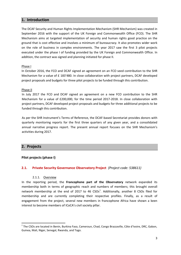# <span id="page-2-0"></span>**1. Introduction**

The DCAF Security and Human Rights Implementation Mechanism (SHR Mechanism) was created in September 2016 with the support of the UK Foreign and Commonwealth Office (FCO). The SHR Mechanism aims at targeted implementation of security and human rights good practice on the ground that is cost effective and involves a minimum of bureaucracy. It also promotes wider work on the role of business in complex environments. The year 2017 saw the first 3 pilot projects executed under the phase I of funding provided by the UK Foreign and Commonwealth Office. In addition, the contract was signed and planning initiated for phase II.

#### Phase I

In October 2016, the FCO and DCAF signed an agreement on an FCO seed contribution to the SHR Mechanism for a value of £ 183'480. In close collaboration with project partners, DCAF developed project proposals and budgets for three pilot projects to be funded through this contribution.

#### Phase II

In July 2017 the FCO and DCAF signed an agreement on a new FCO contribution to the SHR Mechanism for a value of £200,000, for the time period 2017-2018. In close collaboration with project partners, DCAF developed project proposals and budgets for three additional projects to be funded through this contribution.

As per the SHR Instrument's Terms of Reference, the DCAF-based Secretariat provides donors with quarterly monitoring reports for the first three quarters of any given year, and a consolidated annual narrative progress report. The present annual report focuses on the SHR Mechanism's activities during 2017.

# <span id="page-2-1"></span>**2. Projects**

 $\overline{a}$ 

#### <span id="page-2-2"></span>**Pilot projects (phase I)**

#### <span id="page-2-3"></span>**2.1. Private Security Governance Observatory Project** *(Project code: 538611)*

#### 2.1.1. Overview

In the reporting period, the **Francophone part of the Observatory** network expanded its membership both in terms of geographic reach and numbers of members; this brought overall network membership at the end of 2017 to 46  $CSOs<sup>1</sup>$ . Additionally, another 8 CSOs filed for membership and are currently completing their respective profiles. Finally, as a result of engagement from the project, several new members in francophone Africa have shown a keen interest to become members of ICoCA's civil society pillar.

<sup>&</sup>lt;sup>1</sup> The CSOs are located in Benin, Burkina Faso, Cameroun, Chad, Congo Brazzaville, Côte d'Ivoire, DRC, Gabon, Guinea, Mali, Niger, Senegal, Rwanda, and Togo.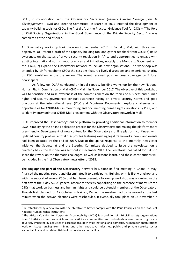DCAF, in collaboration with the Observatory Secretariat (namely *Lumière Synergie pour le développement* – LSD) and Steering Committee, in March of 2017 initiated the development of capacity-building tools for CSOs. The first draft of the Practical Guidance Tool for CSOs – "The Role of Civil Society Organizations in the Good Governance of the Private Security Sector" – was completed at the end of 2017.

An Observatory workshop took place on 20 September 2017, in Bamako, Mali, with three main objectives: a) Present a draft of the capacity-building tool and gather feedback from CSOs; b) Raise awareness on the status of private security regulation in Africa and opportunities to engage with existing international norms, good practices and initiatives, notably the Montreux Document and the ICoCA; c) Expand the Observatory network to include new organisations. The workshop was attended by 19 francophone CSOs; the sessions featured lively discussions and experience-sharing on PSC regulation across the region. The event received positive press coverage by 5 local newspapers.

As follow-up, DCAF conducted an initial capacity-building workshop for the new National Human Rights Commission of Mali (CNDH-Mali)<sup>2</sup> in November 2017. The objective of this workshop was to sensitise and raise awareness of the commissioners on the topics of business and human rights and security governance; conduct awareness-raising on private security norms and good practices at the international level (ICoC and Montreux Documents); explore challenges and opportunities for CNHD-Mali in monitoring and documenting human rights violations by PSCs; and to identify entry point for CNDH-Mali engagement with the Observatory network in Mali.

DCAF improved the Observatory's online platform by providing additional information to member CSOs; simplifying the online application process for the Observatory; and making the platform more user-friendly. Development of new content for the Observatory's online platform continued with updated country profiles: a total of 6 profiles featuring existing legal frameworks, news, and events had been updated by the end of 2017. Due to the sparse response to the 'monthly' newsletter initiative, the Secretariat and the Steering Committee decided to issue the newsletter on a quarterly basis; the last one was sent out in December 2017. The Secretariat has called for CSOs to share their work on the thematic challenges, as well as lessons learnt, and these contributions will be included in the first Observatory newsletter of 2018.

The **Anglophone part of the Observatory** network has, since its first meeting in Ghana in May, finalised the meeting report and disseminated it to participants. Building on this first workshop, and with the support of several CSOs that had been present, a follow-up workshop was organised as the first day of the 3-day ACCA<sup>3</sup> general assembly, thereby capitalising on the presence of many African CSOs that work on business and human rights and could be potential members of the Observatory. Though first planned for 17 October in Nairobi, Kenya, the meeting had to be moved at the last minute when the Kenyan elections were rescheduled. It eventually took place on 14 November in

l

 $2$  Re-established by a new law with the objective to better comply with the Paris Principles on the Status of National Human Rights Institutions.

 $3$  The African Coalition for Corporate Accountability (ACCA) is a coalition of 116 civil society organisations from 31 African countries which supports African communities and individuals whose human rights are adversely impacted by activities of corporations, both multi-national and domestic. Its member organizations work on issues ranging from mining and other extractive industries, public and private security sector accountability, and in related fields of corporate accountability.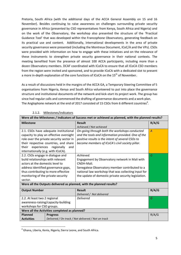Pretoria, South Africa (with the additional days of the ACCA General Assembly on 15 and 16 November). Besides continuing to raise awareness on challenges surrounding private security governance in Africa (presented by CSO representatives from Kenya, South Africa and Nigeria) and on the work of the Observatory, the workshop also presented the structure of the 'Practical Guidance Tool' that was developed within the Francophone Observatory, generating feedback on its practical use and content. Additionally, international developments in the area of private security governance were presented (including the Montreux Document, ICoC/A and the VPs). CSOs were provided with information on how to engage with these initiatives and on the relevance of these instruments to strengthen private security governance in their national contexts. The meeting benefited from the presence of almost 100 ACCA participants, including more than a dozen Observatory members. DCAF coordinated with ICoCA to ensure that all ICoCA CSO members from the region were invited and sponsored, and to provide ICoCA with a dedicated slot to present a more in-depth explanation of the core functions of ICoCA on the 15<sup>th</sup> of November.

As a result of discussions held in the margins of the ACCA GA, a Temporary Steering Committee of 5 organisations from Nigeria, Kenya and South Africa volunteered to put into place the governance structure and institutional documents of the network and kick-start its project work. The group has since had regular calls and commenced the drafting of governance documents and a work plan. The Anglophone network at the end of 2017 consisted of 15 CSOs from 6 different countries<sup>4</sup>.

| Were all the Milestones / Indicators of Success met or achieved as planned, with the planned results? |                                          |                                                      |       |
|-------------------------------------------------------------------------------------------------------|------------------------------------------|------------------------------------------------------|-------|
| <b>Milestone</b>                                                                                      |                                          | <b>Result</b>                                        | R/A/G |
|                                                                                                       |                                          | Achieved / Not achieved                              |       |
|                                                                                                       | 2.1. CSOs have adequate institutional    | On-going through both the workshops conducted        | A     |
|                                                                                                       | capacity to play an effective oversight  | and the tools and information provided. One of the   |       |
|                                                                                                       | role over the private security sector in | positive results is the intent of several CSOs to    |       |
|                                                                                                       | their respective countries, and share    | become members of ICoCA's civil society pillar.      |       |
| experiences<br>their                                                                                  | regionally<br>and                        |                                                      |       |
| internationally (e.g. with ICoCA).                                                                    |                                          |                                                      |       |
| 2.2. CSOs engage in dialogue and                                                                      |                                          | Achieved.                                            | G     |
| build relationships with relevant                                                                     |                                          | Engagement by Observatory network in Mali with       |       |
| actors at the domestic level to                                                                       |                                          | CNDH-Mali.                                           |       |
|                                                                                                       | address identified governance gaps,      | Senegalese Observatory member contributed to a       |       |
|                                                                                                       | thus contributing to more effective      | national law workshop that was collecting input for  |       |
| monitoring of the private security                                                                    |                                          | the update of domestic private security legislation. |       |
| sector.                                                                                               |                                          |                                                      |       |
| Were all the Outputs delivered as planned, with the planned results?                                  |                                          |                                                      |       |
| <b>Output Number</b>                                                                                  |                                          | <b>Result</b>                                        | R/A/G |
|                                                                                                       |                                          | Delivered / Not delivered                            |       |
| 2.2. At least two 2 regional                                                                          |                                          | <b>Delivered</b>                                     | G     |
| awareness-raising/capacity-building                                                                   |                                          |                                                      |       |
| workshops for CSO groups.                                                                             |                                          |                                                      |       |
| Were all the Activities completed as planned?                                                         |                                          |                                                      |       |
| Planned                                                                                               | <b>Progress</b>                          |                                                      | R/A/G |
| Delivered / On track / Not delivered / Not on track<br><b>Activities</b>                              |                                          |                                                      |       |

#### 2.1.2. Milestones/indicators

 $\overline{\phantom{a}}$ 

<sup>&</sup>lt;sup>4</sup> Ghana, Liberia, Kenia, Nigeria, Sierra Leone, and South Africa.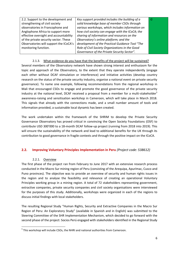| Key support provided includes the building of a<br>G |
|------------------------------------------------------|
| solid knowledge base of member CSOs through          |
| various workshops, which includes information on     |
| how civil society can engage with the ICoCA; the     |
| sharing of information and resources on the          |
| Observatory's online platform; and the               |
| development of the Practical Guidance Tool "The      |
| Role of Civil Society Organizations in the Good      |
| Governance of the Private Security Sector".          |
|                                                      |

# 2.1.3. What evidence do you have that the benefits of the project will be sustained?

Several members of the Observatory network have shown strong interest and enthusiasm for the topic and approach of the Observatory, to the extent that they operate independently (engage each other without DCAF stimulation or interference) and initiative activities (develop country research on the status of the private security industry, organise a national event on private security governance). To name one example, following recommendations from the regional workshop in Mali that encouraged CSOs to engage and promote the good governance of the private security industry at the national level, DCAF received a proposal from a member for a multi-stakeholder<sup>5</sup> awareness-raising and sensitisation workshop in Cameroon, which will take place in March 2018. This signals that already with the connections made, and a small number amount of tools and information provided, a sustainable local dynamic has been created.

The work undertaken within the framework of the SHRIM to develop the Private Security Governance Observatory has proved critical in convincing the Open Society Foundations (OSF) to contribute USD 300'000 to a 18-month DCAF follow-up project (running from 2018 into 2019). This will ensure the sustainability of the network and lead to additional benefits for the UK through its contribution to good governance in fragile contexts and through the positive impact on the ICoCA.

### <span id="page-5-0"></span>**2.2. Improving Voluntary Principles Implementation in Peru** *(Project code: 538612)*

#### 2.2.1. Overview

The first phase of the project ran from February to June 2017 with an extensive research process conducted in the Macro Sur mining region of Peru (consisting of the Arequipa, Apurímac, Cusco and Puno provinces). The objective was to provide an overview of security and human rights issues in the region and to analyse the feasibility and relevance of creating an operational Voluntary Principles working group in a mining region. A total of 72 stakeholders representing government, extractive companies, private security companies and civil society organisations were interviewed for the purposes of this study. Additionally, workshops were organized in each of the regions to discuss initial findings with local stakeholders.

The resulting Regional Study "Human Rights, Security and Extractive Companies in the Macro Sur Region of Peru: An Exploratory Study" (available in Spanish and in English) was submitted to the Steering Committee of the SHR Implementation Mechanism, which decided to go forward with the second phase of the project: Socios Perú engaged with stakeholders identified in the Regional Study

 $\overline{\phantom{a}}$ <sup>5</sup> This workshop will include CSOs, the NHRI and national authorities from Cameroon.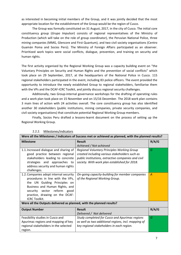as interested in becoming initial members of the Group, and it was jointly decided that the most appropriate location for the establishment of the Group would be the region of Cusco.

The Group was formally constituted on 31 August, 2017, in the city of Cusco. The initial core constituency group (*Grupo Impulsor*) consists of regional representatives of the Ministry of Production (which will take on the role of group coordinator), the Peruvian National Police, three mining companies (MMG, Glencore and First Quantum), and two civil society organisations (Centro Guamán Poma and Socios Perú). The Ministry of Foreign Affairs participated as an observer. Prioritized work topics were social conflicts, dialogue, prevention, and training on security and human rights.

The first activity organised by the Regional Working Group was a capacity building event on "the Voluntary Principles on Security and Human Rights and the prevention of social conflicts" which took place on 29 September, 2017, at the headquarters of the National Police in Cusco. 115 regional stakeholders participated in the event, including 83 police officers. The event provided the opportunity to introduce the newly established Group to regional stakeholders, familiarise them with the VPs and the DCAF-ICRC Toolkit, and jointly discuss regional security challenges.

Additionally, two Group-internal governance workshops for the drafting of operating rules and a work plan took place on 15 November and on 15/16 December. The 2018 work plan contains 3 main lines of action with 24 activities overall. The core constituency group has also identified another 30 stakeholders (public institutions, mining companies, private security companies, and civil society organisations) that constitute potential Regional Working Group members.

Finally, Socios Peru drafted a lessons-learnt document on the process of setting up the Regional Working Group.

| Were all the Milestones / Indicators of Success met or achieved as planned, with the planned results? |                                                     |       |  |
|-------------------------------------------------------------------------------------------------------|-----------------------------------------------------|-------|--|
| <b>Milestone</b>                                                                                      | <b>Result</b>                                       | R/A/G |  |
|                                                                                                       | Achieved / Not achieved                             |       |  |
| 1.1. Increased dialogue and sharing of                                                                | Regional Voluntary Principles Working Group         | G     |  |
| good practice between regional                                                                        | created including various stakeholders such as      |       |  |
| stakeholders leading to concrete                                                                      | public institutions, extractive companies and civil |       |  |
| strategies and approaches to                                                                          | society. With work plan established for 2018.       |       |  |
| address security and human rights                                                                     |                                                     |       |  |
| challenges.                                                                                           |                                                     |       |  |
| 1.2. Companies adopt internal security                                                                | On-going capacity-building for member companies     | Α     |  |
| procedures in line with the VPs,                                                                      | of the Regional Working Group.                      |       |  |
| the UN Guiding Principles on                                                                          |                                                     |       |  |
| Business and Human Rights, and                                                                        |                                                     |       |  |
| security sector reform<br>good                                                                        |                                                     |       |  |
| practice, drawing on the DCAF-                                                                        |                                                     |       |  |
| <b>ICRC Toolkit.</b>                                                                                  |                                                     |       |  |
| Were all the Outputs delivered as planned, with the planned results?                                  |                                                     |       |  |
| <b>Output Number</b>                                                                                  | <b>Result</b>                                       | R/A/G |  |
|                                                                                                       | Delivered / Not delivered                           |       |  |
| Feasibility studies in Cusco and                                                                      | Study completed for Cusco and Apurimac regions      | G     |  |
| Apurimac regions and mapping of key                                                                   | as well as two additional regions, incl. mapping of |       |  |
| regional stakeholders in the selected                                                                 | key regional stakeholders in each region.           |       |  |

#### 2.2.2. Milestones/indicators

region.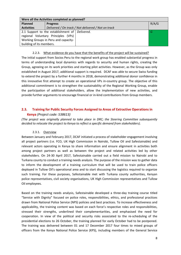| Were all the Activities completed as planned? |                                                |                                                     |       |
|-----------------------------------------------|------------------------------------------------|-----------------------------------------------------|-------|
| <b>Planned</b>                                | <b>Progress</b>                                |                                                     | R/A/G |
| <b>Activities</b>                             |                                                | Delivered / On track / Not delivered / Not on track |       |
|                                               | 2.1 Support to the establishment of Delivered. |                                                     | G     |
|                                               | regional Voluntary Principles (VPs)            |                                                     |       |
|                                               | Working Groups in Peru and capacity-           |                                                     |       |
| building of its members.                      |                                                |                                                     |       |

#### 2.2.3. What evidence do you have that the benefits of the project will be sustained?

The initial support from Socios Peru to the regional work group has enabled substantial progress in terms of understanding local dynamics with regards to security and human rights, creating the Group, agreeing on its work priorities and starting pilot activities. However, as the Group was only established in August 2017, additional support is required. DCAF was able to secure Swiss funding to extend the project by a further 4 months in 2018, demonstrating additional donor confidence in this innovative first attempt to create an operational VPs in-country group. The objective of this additional commitment is to strengthen the sustainability of the Regional Working Group, enable the participation of additional stakeholders, allow the implementation of new activities, and provide further arguments to encourage financial or in-kind contributions from Group members.

# <span id="page-7-0"></span>**2.3. Training for Public Security Forces Assigned to Areas of Extractive Operations in Kenya** *(Project code: 538613)*

*(The project was originally planned to take place in DRC; the Steering Committee subsequently decided to relocate the project to Kenya to reflect a specific demand from stakeholders).*

#### 2.3.1. Overview

Between January and February 2017, DCAF initiated a process of stakeholder engagement involving all project partners (i.e. FCO, UK High Commission in Nairobi, Tullow Oil and Safestainable) and relevant actors operating in Kenya to share information and ensure alignment in activities both among project partners as well as between the project and related activities led by other stakeholders. On 24-30 April 2017, Safestainable carried out a field mission to Nairobi and to Turkana county to conduct a training needs analysis. The purpose of the mission was to gather data to inform the development of a training curriculum that will be used to train police officers deployed in Tullow Oil's operational area and to start discussing the logistics required to organize such training. For these purposes, Safestainable met with Turkana county authorities, Kenyan police representatives, civil society organisations, UK High Commission representatives and Tullow Oil employees.

Based on the training needs analysis, Safestainable developed a three-day training course titled "Service with Dignity" focused on police roles, responsibilities, ethics, and professional practices drawn from National Police Service (NPS) policies and best practices. To increase effectiveness and applicability, the training content was based on each force's respective roles and responsibilities, stressed their strengths, underlined their complementarities, and emphasised the need for cooperation. In view of the political and security risks associated to the re-scheduling of the presidential elections to 26 October, the training planned for early October had to be postponed. The training was delivered between 01 and 17 December 2017 four times to mixed groups of officers from the Kenya National Police Service (KPS), including members of the General Service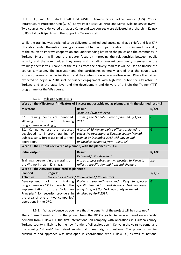Unit (GSU) and Anti Stock Theft Unit (ASTU); Administrative Police Service (APS), Critical Infrastructure Protection Unit (CIPU), Kenya Police Reserve (KPR), and Kenya Wildlife Service (KWS). Two courses were delivered at Kapese Camp and two courses were delivered at a church in Kainuk to 85 total participants with the support of Tullow's staff.

While the training was designed to be delivered to mixed audiences, no village chiefs and few KPR officials attended the entire training as a result of barriers to participation. This hindered the ability of the course to improve cooperation and understanding between the police and the community in Turkana. Phase II will require a greater focus on improving the relationships between public security and the communities they serve and including relevant community members in the trainings themselves. Analysis of the results from the delivery road test will be used to finalise the course curriculum. The instructor and the participants generally agreed that the course was successful overall at achieving its aim and the content covered was well-received. Phase II activities, expected to begin in 2018, include further engagement with high-level public security actors in Turkana and at the state level and the development and delivery of a Train the Trainer (TTT) programme for the VPs course.

| Were all the Milestones / Indicators of Success met or achieved as planned, with the planned results? |                                                      |       |  |
|-------------------------------------------------------------------------------------------------------|------------------------------------------------------|-------|--|
| <b>Milestone</b>                                                                                      | <b>Result</b>                                        | R/A/G |  |
|                                                                                                       | Achieved / Not achieved                              |       |  |
| 3.1. Training needs are identified,                                                                   | Training needs analysis report finalised by April    | G     |  |
| tailor<br>allowing<br>to<br>training                                                                  | 2017.                                                |       |  |
| programmes accordingly;                                                                               |                                                      |       |  |
| 3.2. Companies use the resources                                                                      | A total of 85 Kenyan police officers assigned to     | G     |  |
| developed to improve training of                                                                      | extractive operations in Turkana county (Kenya),     |       |  |
| public security forces assigned to their                                                              | trained by December 2017 with buy-in and             |       |  |
| operations.                                                                                           | financial contribution from Tullow Oil.              |       |  |
| Were all the Outputs delivered as planned, with the planned results?                                  |                                                      |       |  |
| <b>Initial output</b>                                                                                 | <b>Result</b>                                        | R/A/G |  |
|                                                                                                       | Delivered / Not delivered                            |       |  |
| Training side-event in the margins of                                                                 | n.a. as project subsequently relocated to Kenya to   | n.a.  |  |
| the VPs workshop in Kinshasa.                                                                         | reflect a specific demand from stakeholders          |       |  |
| Were all the Activities completed as planned?                                                         |                                                      |       |  |
| <b>Progress</b><br><b>Planned</b>                                                                     |                                                      | R/A/G |  |
| <b>Activities</b>                                                                                     | Delivered / On track / Not delivered / Not on track  |       |  |
| Development<br>of<br>training<br>a                                                                    | Project subsequently relocated to Kenya to reflect a | G     |  |
| programme on a "SSR approach to the                                                                   | specific demand from stakeholders. Training needs    |       |  |
| implementation of the Voluntary                                                                       | analysis report (for Turkana county in Kenya)        |       |  |
| Principles" for security providers in                                                                 | finalised by April 2017.                             |       |  |
| the area of one or two companies'                                                                     |                                                      |       |  |
| operations in the DRC.                                                                                |                                                      |       |  |

2.3.2. Milestone/indicators

#### 2.3.3. What evidence do you have that the benefits of the project will be sustained?

The aforementioned shift of the project from the DR Congo to Kenya was based on a specific demand from Tullow Oil, the first international oil company with operations in Turkana county. Turkana county is likely to be the new frontier of oil exploration in Kenya in the years to come, and the coming 'oil rush' has raised substantial human rights questions. The project's training curriculum and approach was developed in coordination with Tullow Oil, as well as national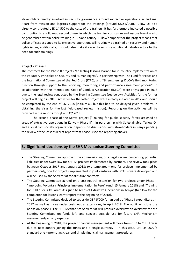stakeholders directly involved in security governance around extractive operations in Turkana. Apart from mission and logistics support for the trainings (around USD 5'000), Tullow Oil also directly contributed USD 14'500 to the costs of the trainers. It has furthermore indicated a possible contribution to a follow-up second phase, in which the training curriculum and lessons learnt are to be generalized within police training in Turkana county. Tullow's support for the project means that police officers assigned to its extractive operations will routinely be trained on security and human rights issues; additionally, it should also make it easier to sensitise additional industry actors to the need for such trainings.

#### <span id="page-9-0"></span>**Projects Phase II**

The contracts for the Phase II projects "Collecting lessons learned for in-country implementation of the Voluntary Principles on Security and Human Rights", in partnership with The Fund for Peace and the International Committee of the Red Cross (ICRC), and "Strengthening ICoCA's field monitoring function through support to the reporting, monitoring and performance assessment process", in collaboration with the International Code of Conduct Association (ICoCA), were only signed in 2018 due to the legal review conducted by the Steering Committee (see below). Activities for the former project will begin in 2018. Activities for the latter project were already initiated in 2017 and should be completed by the end of Q2 2018 (initially Q1 but this had to be delayed given problems in obtaining the visas for the last field-based review mission). Reporting on the activities will be provided in the reports for Q1 and Q2 2018.

The second phase of the Kenya project ("Training for public security forces assigned to areas of extractive operations in Kenya – Phase II"), in partnership with Safestainable, Tullow Oil and a local civil society organization, depends on discussions with stakeholders in Kenya pending the review of the lessons learnt report from phase I (see the reporting above).

# <span id="page-9-1"></span>**3. Significant decisions by the SHR Mechanism Steering Committee**

- The Steering Committee approved the commissioning of a legal review concerning potential liabilities under Swiss law for SHRIM projects implemented by partners. The review took place between October 2017 and January 2018; two templates – one for projects implemented by partners only, one for projects implemented in joint ventures with DCAF – were developed and will be used by the Secretariat for all future contracts.
- The Steering Committee agreed on a cost-neutral extension for two projects under Phase I: "Improving Voluntary Principles Implementation in Peru" (until 15 January 2018) and "Training for Public Security Forces Assigned to Areas of Extractive Operations in Kenya" (to allow for the completion for lessons learnt report at the beginning of 2018).
- The Steering Committee decided to set aside GBP 5'000 for an audit of Phase I expenditures in 2017 as well as those under cost-neutral extensions, in April 2018. The audit will close the books on phase I. The SHR Mechanism Secretariat will produce overview an overview for the Steering Committee on funds left, and suggest possible use for future SHR Mechanism management/activity expenses.
- At the beginning of 2018, the project financial management will move from GBP to CHF. This is due to new donors joining the funds and a single currency  $-$  in this case, CHF as DCAF's standard one – promoting clear and simple financial management procedures.